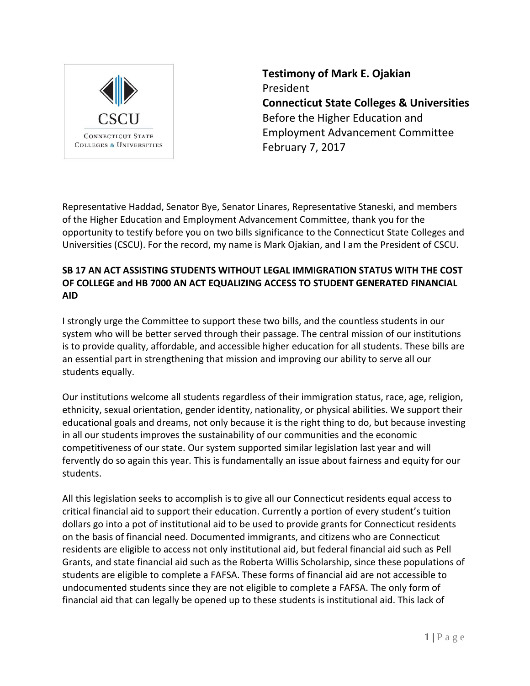

**Testimony of Mark E. Ojakian** President **Connecticut State Colleges & Universities** Before the Higher Education and Employment Advancement Committee February 7, 2017

Representative Haddad, Senator Bye, Senator Linares, Representative Staneski, and members of the Higher Education and Employment Advancement Committee, thank you for the opportunity to testify before you on two bills significance to the Connecticut State Colleges and Universities (CSCU). For the record, my name is Mark Ojakian, and I am the President of CSCU.

## **SB 17 AN ACT ASSISTING STUDENTS WITHOUT LEGAL IMMIGRATION STATUS WITH THE COST OF COLLEGE and HB 7000 AN ACT EQUALIZING ACCESS TO STUDENT GENERATED FINANCIAL AID**

I strongly urge the Committee to support these two bills, and the countless students in our system who will be better served through their passage. The central mission of our institutions is to provide quality, affordable, and accessible higher education for all students. These bills are an essential part in strengthening that mission and improving our ability to serve all our students equally.

Our institutions welcome all students regardless of their immigration status, race, age, religion, ethnicity, sexual orientation, gender identity, nationality, or physical abilities. We support their educational goals and dreams, not only because it is the right thing to do, but because investing in all our students improves the sustainability of our communities and the economic competitiveness of our state. Our system supported similar legislation last year and will fervently do so again this year. This is fundamentally an issue about fairness and equity for our students.

All this legislation seeks to accomplish is to give all our Connecticut residents equal access to critical financial aid to support their education. Currently a portion of every student's tuition dollars go into a pot of institutional aid to be used to provide grants for Connecticut residents on the basis of financial need. Documented immigrants, and citizens who are Connecticut residents are eligible to access not only institutional aid, but federal financial aid such as Pell Grants, and state financial aid such as the Roberta Willis Scholarship, since these populations of students are eligible to complete a FAFSA. These forms of financial aid are not accessible to undocumented students since they are not eligible to complete a FAFSA. The only form of financial aid that can legally be opened up to these students is institutional aid. This lack of